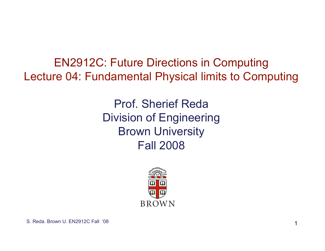EN2912C: Future Directions in Computing Lecture 04: Fundamental Physical limits to Computing

> Prof. Sherief Reda Division of Engineering Brown University Fall 2008

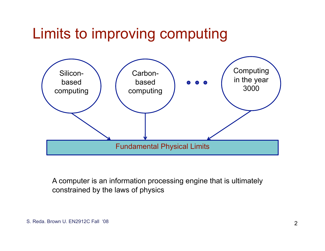## Limits to improving computing



A computer is an information processing engine that is ultimately constrained by the laws of physics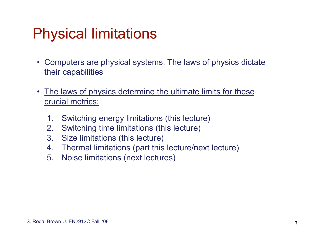## Physical limitations

- Computers are physical systems. The laws of physics dictate their capabilities
- The laws of physics determine the ultimate limits for these crucial metrics:
	- 1. Switching energy limitations (this lecture)
	- 2. Switching time limitations (this lecture)
	- 3. Size limitations (this lecture)
	- 4. Thermal limitations (part this lecture/next lecture)
	- 5. Noise limitations (next lectures)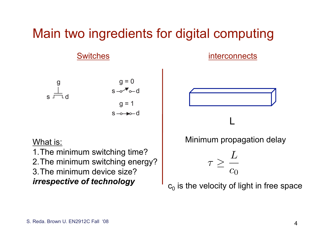#### Main two ingredients for digital computing

#### Switches **interconnects**





#### What is:

1.The minimum switching time? 2.The minimum switching energy? 3.The minimum device size? *irrespective of technology* 





 $c_0$  is the velocity of light in free space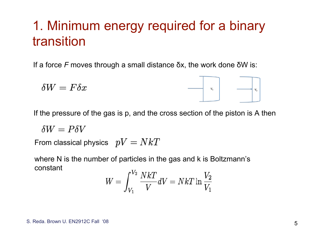#### 1. Minimum energy required for a binary transition

If a force *F* moves through a small distance δx, the work done δW is:

$$
\delta W = F \delta x \qquad \qquad \boxed{\qquad \qquad \Box \qquad \qquad}
$$

If the pressure of the gas is p, and the cross section of the piston is A then

 $\delta W = P \delta V$ 

From classical physics  $pV = NkT$ 

where N is the number of particles in the gas and k is Boltzmann's constant  $T$ 

$$
W=\int_{V_1}^{V_2} \frac{NkT}{V} dV=NkT \ln \frac{V_2}{V_1}
$$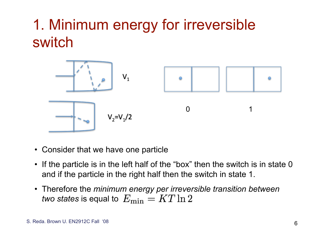# 1. Minimum energy for irreversible switch



- Consider that we have one particle
- If the particle is in the left half of the "box" then the switch is in state 0 and if the particle in the right half then the switch in state 1.
- Therefore the *minimum energy per irreversible transition between two states* is equal to  $E_{\rm min}=K T \ln 2$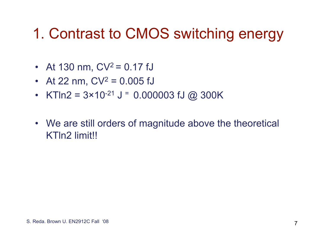## 1. Contrast to CMOS switching energy

- At 130 nm,  $CV^2 = 0.17$  fJ
- At 22 nm,  $CV^2 = 0.005$  fJ
- KTln2 =  $3 \times 10^{-21}$  J = 0.000003 fJ @ 300K
- We are still orders of magnitude above the theoretical KTln2 limit!!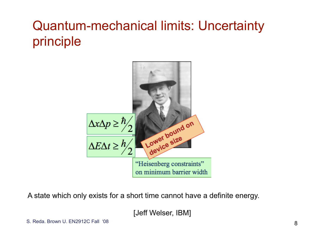### Quantum-mechanical limits: Uncertainty principle



A state which only exists for a short time cannot have a definite energy.

[Jeff Welser, IBM]

S. Reda. Brown U. EN2912C Fall '08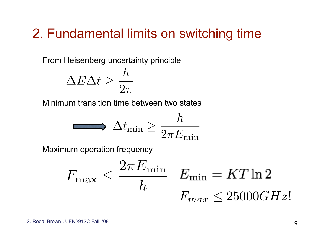#### 2. Fundamental limits on switching time

From Heisenberg uncertainty principle

$$
\Delta E \Delta t \geq \frac{h}{2\pi}
$$

Minimum transition time between two states

$$
\qquad \qquad \longrightarrow \Delta t_{\rm min} \geq \frac{h}{2\pi E_{\rm min}}
$$

Maximum operation frequency

$$
F_{\max} \le \frac{2\pi E_{\min}}{h} \quad E_{\min} = KT \ln 2
$$

$$
F_{\max} \le 25000 GHz!
$$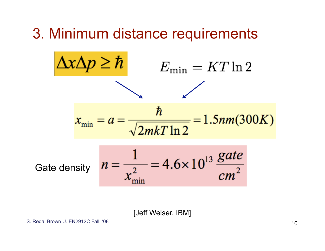### 3. Minimum distance requirements



[Jeff Welser, IBM]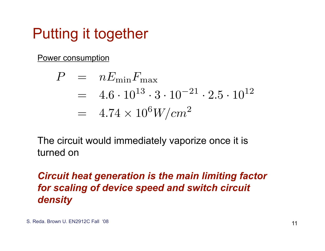## Putting it together

Power consumption

$$
P = nE_{\min}F_{\max}
$$
  
= 4.6 \cdot 10<sup>13</sup> \cdot 3 \cdot 10<sup>-21</sup> \cdot 2.5 \cdot 10<sup>12</sup>  
= 4.74 \times 10<sup>6</sup> W/cm<sup>2</sup>

The circuit would immediately vaporize once it is turned on

#### *Circuit heat generation is the main limiting factor for scaling of device speed and switch circuit density*